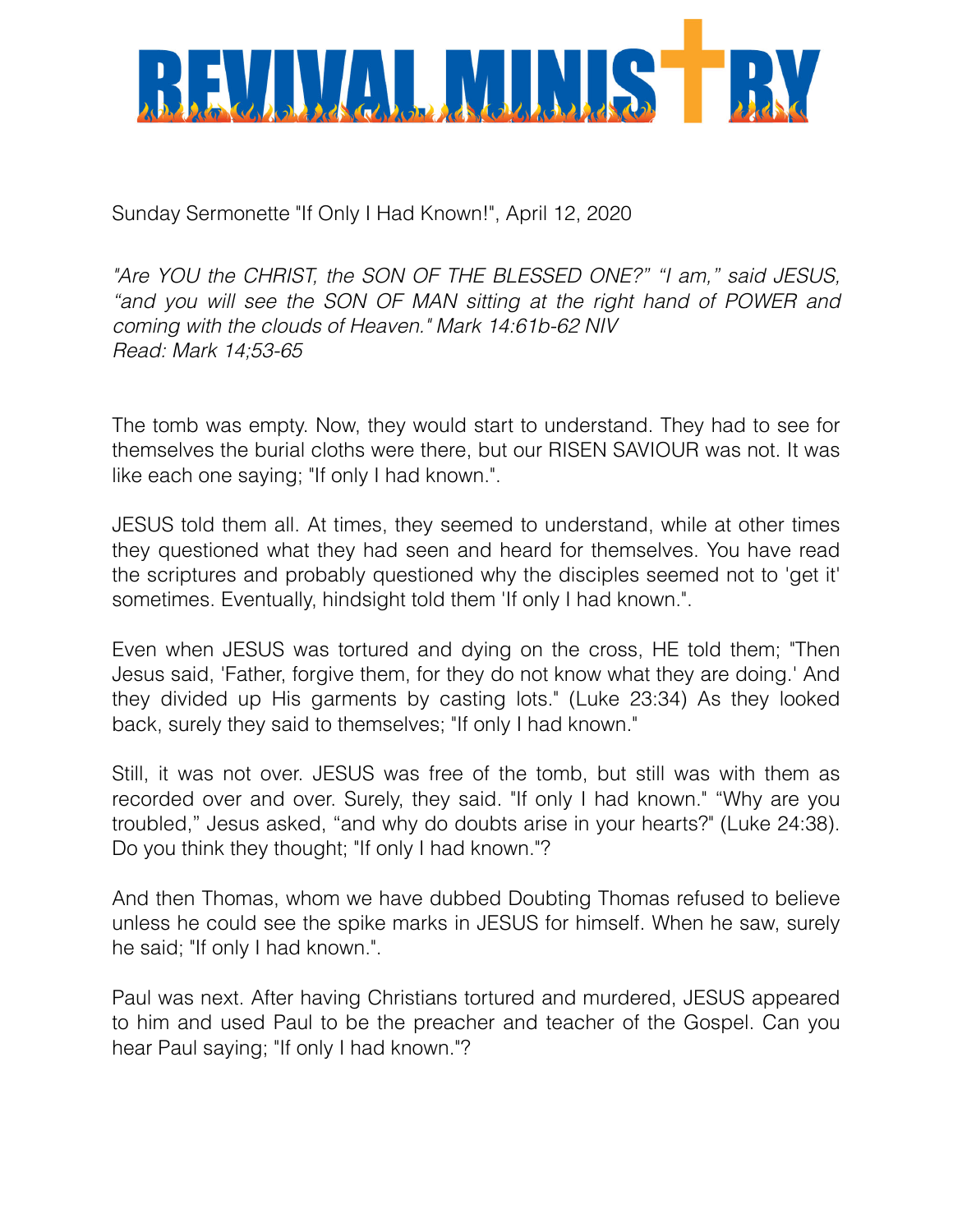

Sunday Sermonette "If Only I Had Known!", April 12, 2020

*"Are YOU the CHRIST, the SON OF THE BLESSED ONE?" "I am," said JESUS,*  "and you will see the SON OF MAN sitting at the right hand of POWER and *coming with the clouds of Heaven." Mark 14:61b-62 NIV Read: Mark 14;53-65*

The tomb was empty. Now, they would start to understand. They had to see for themselves the burial cloths were there, but our RISEN SAVIOUR was not. It was like each one saying; "If only I had known.".

JESUS told them all. At times, they seemed to understand, while at other times they questioned what they had seen and heard for themselves. You have read the scriptures and probably questioned why the disciples seemed not to 'get it' sometimes. Eventually, hindsight told them 'If only I had known.".

Even when JESUS was tortured and dying on the cross, HE told them; "Then Jesus said, 'Father, forgive them, for they do not know what they are doing.' And they divided up His garments by casting lots." (Luke 23:34) As they looked back, surely they said to themselves; "If only I had known."

Still, it was not over. JESUS was free of the tomb, but still was with them as recorded over and over. Surely, they said. "If only I had known." "Why are you troubled," Jesus asked, "and why do doubts arise in your hearts?" (Luke 24:38). Do you think they thought; "If only I had known."?

And then Thomas, whom we have dubbed Doubting Thomas refused to believe unless he could see the spike marks in JESUS for himself. When he saw, surely he said; "If only I had known.".

Paul was next. After having Christians tortured and murdered, JESUS appeared to him and used Paul to be the preacher and teacher of the Gospel. Can you hear Paul saying; "If only I had known."?